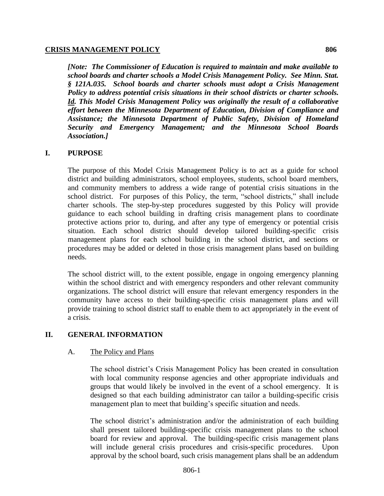#### **CRISIS MANAGEMENT POLICY** 806

*[Note: The Commissioner of Education is required to maintain and make available to school boards and charter schools a Model Crisis Management Policy. See Minn. Stat. § 121A.035. School boards and charter schools must adopt a Crisis Management Policy to address potential crisis situations in their school districts or charter schools. Id. This Model Crisis Management Policy was originally the result of a collaborative effort between the Minnesota Department of Education, Division of Compliance and Assistance; the Minnesota Department of Public Safety, Division of Homeland Security and Emergency Management; and the Minnesota School Boards Association.]*

#### **I. PURPOSE**

The purpose of this Model Crisis Management Policy is to act as a guide for school district and building administrators, school employees, students, school board members, and community members to address a wide range of potential crisis situations in the school district. For purposes of this Policy, the term, "school districts," shall include charter schools. The step-by-step procedures suggested by this Policy will provide guidance to each school building in drafting crisis management plans to coordinate protective actions prior to, during, and after any type of emergency or potential crisis situation. Each school district should develop tailored building-specific crisis management plans for each school building in the school district, and sections or procedures may be added or deleted in those crisis management plans based on building needs.

The school district will, to the extent possible, engage in ongoing emergency planning within the school district and with emergency responders and other relevant community organizations. The school district will ensure that relevant emergency responders in the community have access to their building-specific crisis management plans and will provide training to school district staff to enable them to act appropriately in the event of a crisis.

#### **II. GENERAL INFORMATION**

#### A. The Policy and Plans

The school district's Crisis Management Policy has been created in consultation with local community response agencies and other appropriate individuals and groups that would likely be involved in the event of a school emergency. It is designed so that each building administrator can tailor a building-specific crisis management plan to meet that building's specific situation and needs.

The school district's administration and/or the administration of each building shall present tailored building-specific crisis management plans to the school board for review and approval. The building-specific crisis management plans will include general crisis procedures and crisis-specific procedures. Upon approval by the school board, such crisis management plans shall be an addendum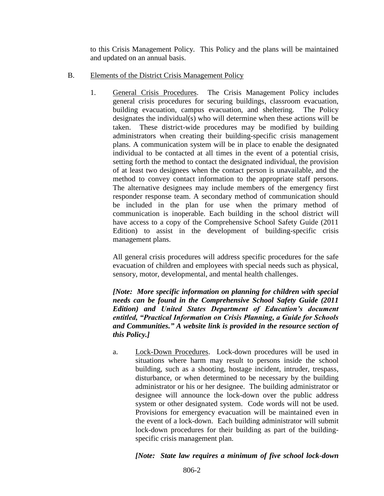to this Crisis Management Policy. This Policy and the plans will be maintained and updated on an annual basis.

- B. Elements of the District Crisis Management Policy
	- 1. General Crisis Procedures. The Crisis Management Policy includes general crisis procedures for securing buildings, classroom evacuation, building evacuation, campus evacuation, and sheltering. The Policy designates the individual(s) who will determine when these actions will be taken. These district-wide procedures may be modified by building administrators when creating their building-specific crisis management plans. A communication system will be in place to enable the designated individual to be contacted at all times in the event of a potential crisis, setting forth the method to contact the designated individual, the provision of at least two designees when the contact person is unavailable, and the method to convey contact information to the appropriate staff persons. The alternative designees may include members of the emergency first responder response team. A secondary method of communication should be included in the plan for use when the primary method of communication is inoperable. Each building in the school district will have access to a copy of the Comprehensive School Safety Guide (2011 Edition) to assist in the development of building-specific crisis management plans.

All general crisis procedures will address specific procedures for the safe evacuation of children and employees with special needs such as physical, sensory, motor, developmental, and mental health challenges.

*[Note: More specific information on planning for children with special needs can be found in the Comprehensive School Safety Guide (2011 Edition) and United States Department of Education's document entitled, "Practical Information on Crisis Planning, a Guide for Schools and Communities." A website link is provided in the resource section of this Policy.]*

a. Lock-Down Procedures. Lock-down procedures will be used in situations where harm may result to persons inside the school building, such as a shooting, hostage incident, intruder, trespass, disturbance, or when determined to be necessary by the building administrator or his or her designee. The building administrator or designee will announce the lock-down over the public address system or other designated system. Code words will not be used. Provisions for emergency evacuation will be maintained even in the event of a lock-down. Each building administrator will submit lock-down procedures for their building as part of the buildingspecific crisis management plan.

*[Note: State law requires a minimum of five school lock-down*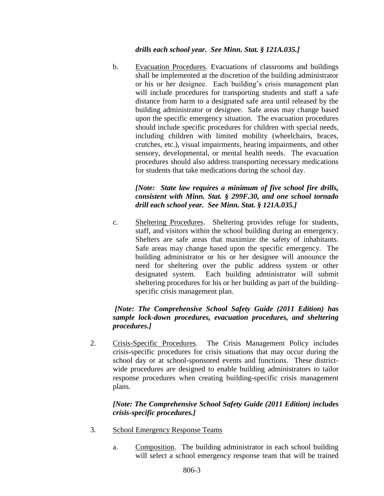#### *drills each school year. See Minn. Stat. § 121A.035.]*

b. Evacuation Procedures. Evacuations of classrooms and buildings shall be implemented at the discretion of the building administrator or his or her designee. Each building's crisis management plan will include procedures for transporting students and staff a safe distance from harm to a designated safe area until released by the building administrator or designee. Safe areas may change based upon the specific emergency situation. The evacuation procedures should include specific procedures for children with special needs, including children with limited mobility (wheelchairs, braces, crutches, etc.), visual impairments, hearing impairments, and other sensory, developmental, or mental health needs. The evacuation procedures should also address transporting necessary medications for students that take medications during the school day.

# *[Note: State law requires a minimum of five school fire drills, consistent with Minn. Stat. § 299F.30, and one school tornado drill each school year. See Minn. Stat. § 121A.035.]*

c. Sheltering Procedures. Sheltering provides refuge for students, staff, and visitors within the school building during an emergency. Shelters are safe areas that maximize the safety of inhabitants. Safe areas may change based upon the specific emergency. The building administrator or his or her designee will announce the need for sheltering over the public address system or other designated system. Each building administrator will submit sheltering procedures for his or her building as part of the buildingspecific crisis management plan.

# *[Note: The Comprehensive School Safety Guide (2011 Edition) has sample lock-down procedures, evacuation procedures, and sheltering procedures.]*

2. Crisis-Specific Procedures. The Crisis Management Policy includes crisis-specific procedures for crisis situations that may occur during the school day or at school-sponsored events and functions. These districtwide procedures are designed to enable building administrators to tailor response procedures when creating building-specific crisis management plans.

# *[Note: The Comprehensive School Safety Guide (2011 Edition) includes crisis-specific procedures.]*

- 3. School Emergency Response Teams
	- a. Composition. The building administrator in each school building will select a school emergency response team that will be trained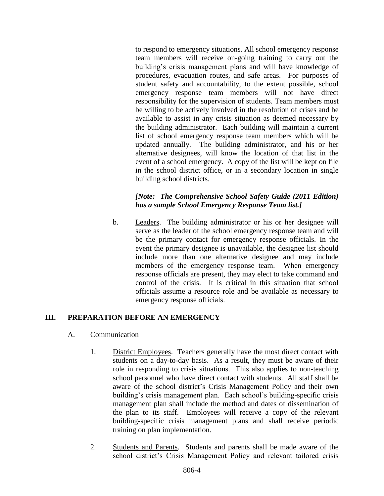to respond to emergency situations. All school emergency response team members will receive on-going training to carry out the building's crisis management plans and will have knowledge of procedures, evacuation routes, and safe areas. For purposes of student safety and accountability, to the extent possible, school emergency response team members will not have direct responsibility for the supervision of students. Team members must be willing to be actively involved in the resolution of crises and be available to assist in any crisis situation as deemed necessary by the building administrator. Each building will maintain a current list of school emergency response team members which will be updated annually. The building administrator, and his or her alternative designees, will know the location of that list in the event of a school emergency. A copy of the list will be kept on file in the school district office, or in a secondary location in single building school districts.

# *[Note: The Comprehensive School Safety Guide (2011 Edition) has a sample School Emergency Response Team list.]*

b. Leaders. The building administrator or his or her designee will serve as the leader of the school emergency response team and will be the primary contact for emergency response officials. In the event the primary designee is unavailable, the designee list should include more than one alternative designee and may include members of the emergency response team. When emergency response officials are present, they may elect to take command and control of the crisis. It is critical in this situation that school officials assume a resource role and be available as necessary to emergency response officials.

# **III. PREPARATION BEFORE AN EMERGENCY**

- A. Communication
	- 1. District Employees. Teachers generally have the most direct contact with students on a day-to-day basis. As a result, they must be aware of their role in responding to crisis situations. This also applies to non-teaching school personnel who have direct contact with students. All staff shall be aware of the school district's Crisis Management Policy and their own building's crisis management plan. Each school's building-specific crisis management plan shall include the method and dates of dissemination of the plan to its staff. Employees will receive a copy of the relevant building-specific crisis management plans and shall receive periodic training on plan implementation.
	- 2. Students and Parents. Students and parents shall be made aware of the school district's Crisis Management Policy and relevant tailored crisis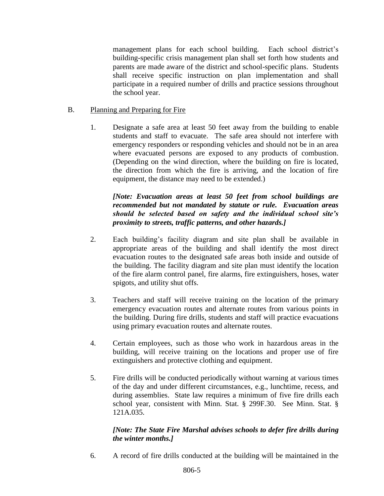management plans for each school building. Each school district's building-specific crisis management plan shall set forth how students and parents are made aware of the district and school-specific plans. Students shall receive specific instruction on plan implementation and shall participate in a required number of drills and practice sessions throughout the school year.

### B. Planning and Preparing for Fire

1. Designate a safe area at least 50 feet away from the building to enable students and staff to evacuate. The safe area should not interfere with emergency responders or responding vehicles and should not be in an area where evacuated persons are exposed to any products of combustion. (Depending on the wind direction, where the building on fire is located, the direction from which the fire is arriving, and the location of fire equipment, the distance may need to be extended.)

#### *[Note: Evacuation areas at least 50 feet from school buildings are recommended but not mandated by statute or rule. Evacuation areas should be selected based on safety and the individual school site's proximity to streets, traffic patterns, and other hazards.]*

- 2. Each building's facility diagram and site plan shall be available in appropriate areas of the building and shall identify the most direct evacuation routes to the designated safe areas both inside and outside of the building. The facility diagram and site plan must identify the location of the fire alarm control panel, fire alarms, fire extinguishers, hoses, water spigots, and utility shut offs.
- 3. Teachers and staff will receive training on the location of the primary emergency evacuation routes and alternate routes from various points in the building. During fire drills, students and staff will practice evacuations using primary evacuation routes and alternate routes.
- 4. Certain employees, such as those who work in hazardous areas in the building, will receive training on the locations and proper use of fire extinguishers and protective clothing and equipment.
- 5. Fire drills will be conducted periodically without warning at various times of the day and under different circumstances, e.g., lunchtime, recess, and during assemblies. State law requires a minimum of five fire drills each school year, consistent with Minn. Stat. § 299F.30. See Minn. Stat. § 121A.035.

# *[Note: The State Fire Marshal advises schools to defer fire drills during the winter months.]*

6. A record of fire drills conducted at the building will be maintained in the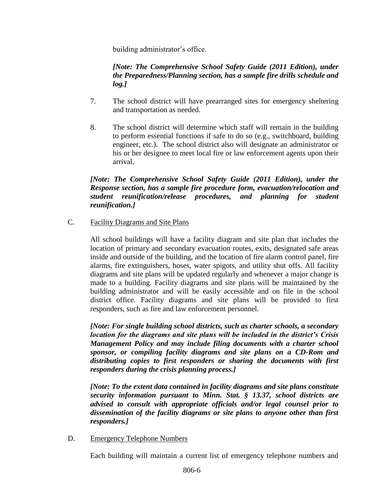building administrator's office.

# *[Note: The Comprehensive School Safety Guide (2011 Edition), under the Preparedness/Planning section, has a sample fire drills schedule and log.]*

- 7. The school district will have prearranged sites for emergency sheltering and transportation as needed.
- 8. The school district will determine which staff will remain in the building to perform essential functions if safe to do so (e.g., switchboard, building engineer, etc.). The school district also will designate an administrator or his or her designee to meet local fire or law enforcement agents upon their arrival.

# *[Note: The Comprehensive School Safety Guide (2011 Edition), under the Response section, has a sample fire procedure form, evacuation/relocation and student reunification/release procedures, and planning for student reunification.]*

C. Facility Diagrams and Site Plans

All school buildings will have a facility diagram and site plan that includes the location of primary and secondary evacuation routes, exits, designated safe areas inside and outside of the building, and the location of fire alarm control panel, fire alarms, fire extinguishers, hoses, water spigots, and utility shut offs. All facility diagrams and site plans will be updated regularly and whenever a major change is made to a building. Facility diagrams and site plans will be maintained by the building administrator and will be easily accessible and on file in the school district office. Facility diagrams and site plans will be provided to first responders, such as fire and law enforcement personnel.

*[Note: For single building school districts, such as charter schools, a secondary location for the diagrams and site plans will be included in the district's Crisis Management Policy and may include filing documents with a charter school sponsor, or compiling facility diagrams and site plans on a CD-Rom and distributing copies to first responders or sharing the documents with first responders during the crisis planning process.]*

*[Note: To the extent data contained in facility diagrams and site plans constitute security information pursuant to Minn. Stat. § 13.37, school districts are advised to consult with appropriate officials and/or legal counsel prior to dissemination of the facility diagrams or site plans to anyone other than first responders.]*

D. Emergency Telephone Numbers

Each building will maintain a current list of emergency telephone numbers and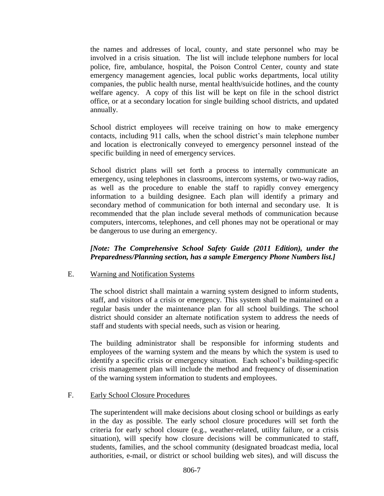the names and addresses of local, county, and state personnel who may be involved in a crisis situation. The list will include telephone numbers for local police, fire, ambulance, hospital, the Poison Control Center, county and state emergency management agencies, local public works departments, local utility companies, the public health nurse, mental health/suicide hotlines, and the county welfare agency. A copy of this list will be kept on file in the school district office, or at a secondary location for single building school districts, and updated annually.

School district employees will receive training on how to make emergency contacts, including 911 calls, when the school district's main telephone number and location is electronically conveyed to emergency personnel instead of the specific building in need of emergency services.

School district plans will set forth a process to internally communicate an emergency, using telephones in classrooms, intercom systems, or two-way radios, as well as the procedure to enable the staff to rapidly convey emergency information to a building designee. Each plan will identify a primary and secondary method of communication for both internal and secondary use. It is recommended that the plan include several methods of communication because computers, intercoms, telephones, and cell phones may not be operational or may be dangerous to use during an emergency.

# *[Note: The Comprehensive School Safety Guide (2011 Edition), under the Preparedness/Planning section, has a sample Emergency Phone Numbers list.]*

#### E. Warning and Notification Systems

The school district shall maintain a warning system designed to inform students, staff, and visitors of a crisis or emergency. This system shall be maintained on a regular basis under the maintenance plan for all school buildings. The school district should consider an alternate notification system to address the needs of staff and students with special needs, such as vision or hearing.

The building administrator shall be responsible for informing students and employees of the warning system and the means by which the system is used to identify a specific crisis or emergency situation. Each school's building-specific crisis management plan will include the method and frequency of dissemination of the warning system information to students and employees.

#### F. Early School Closure Procedures

The superintendent will make decisions about closing school or buildings as early in the day as possible. The early school closure procedures will set forth the criteria for early school closure (e.g., weather-related, utility failure, or a crisis situation), will specify how closure decisions will be communicated to staff, students, families, and the school community (designated broadcast media, local authorities, e-mail, or district or school building web sites), and will discuss the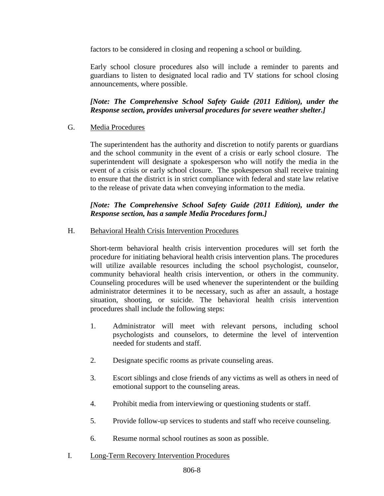factors to be considered in closing and reopening a school or building.

Early school closure procedures also will include a reminder to parents and guardians to listen to designated local radio and TV stations for school closing announcements, where possible.

*[Note: The Comprehensive School Safety Guide (2011 Edition), under the Response section, provides universal procedures for severe weather shelter.]*

# G. Media Procedures

The superintendent has the authority and discretion to notify parents or guardians and the school community in the event of a crisis or early school closure. The superintendent will designate a spokesperson who will notify the media in the event of a crisis or early school closure. The spokesperson shall receive training to ensure that the district is in strict compliance with federal and state law relative to the release of private data when conveying information to the media.

# *[Note: The Comprehensive School Safety Guide (2011 Edition), under the Response section, has a sample Media Procedures form.]*

#### H. Behavioral Health Crisis Intervention Procedures

Short-term behavioral health crisis intervention procedures will set forth the procedure for initiating behavioral health crisis intervention plans. The procedures will utilize available resources including the school psychologist, counselor, community behavioral health crisis intervention, or others in the community. Counseling procedures will be used whenever the superintendent or the building administrator determines it to be necessary, such as after an assault, a hostage situation, shooting, or suicide. The behavioral health crisis intervention procedures shall include the following steps:

- 1. Administrator will meet with relevant persons, including school psychologists and counselors, to determine the level of intervention needed for students and staff.
- 2. Designate specific rooms as private counseling areas.
- 3. Escort siblings and close friends of any victims as well as others in need of emotional support to the counseling areas.
- 4. Prohibit media from interviewing or questioning students or staff.
- 5. Provide follow-up services to students and staff who receive counseling.
- 6. Resume normal school routines as soon as possible.
- I. Long-Term Recovery Intervention Procedures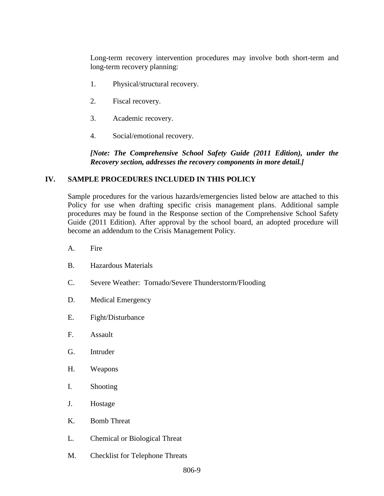Long-term recovery intervention procedures may involve both short-term and long-term recovery planning:

- 1. Physical/structural recovery.
- 2. Fiscal recovery.
- 3. Academic recovery.
- 4. Social/emotional recovery.

*[Note: The Comprehensive School Safety Guide (2011 Edition), under the Recovery section, addresses the recovery components in more detail.]*

#### **IV. SAMPLE PROCEDURES INCLUDED IN THIS POLICY**

Sample procedures for the various hazards/emergencies listed below are attached to this Policy for use when drafting specific crisis management plans. Additional sample procedures may be found in the Response section of the Comprehensive School Safety Guide (2011 Edition). After approval by the school board, an adopted procedure will become an addendum to the Crisis Management Policy.

- A. Fire
- B. Hazardous Materials
- C. Severe Weather: Tornado/Severe Thunderstorm/Flooding
- D. Medical Emergency
- E. Fight/Disturbance
- F. Assault
- G. Intruder
- H. Weapons
- I. Shooting
- J. Hostage
- K. Bomb Threat
- L. Chemical or Biological Threat
- M. Checklist for Telephone Threats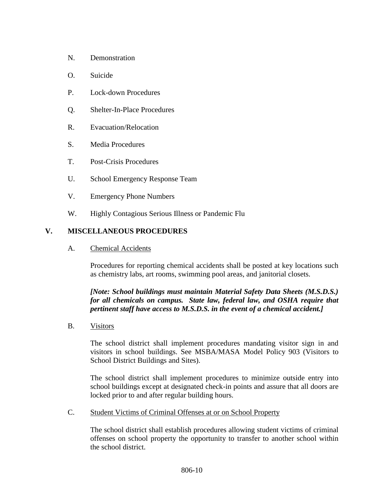- N. Demonstration
- O. Suicide
- P. Lock-down Procedures
- Q. Shelter-In-Place Procedures
- R. Evacuation/Relocation
- S. Media Procedures
- T. Post-Crisis Procedures
- U. School Emergency Response Team
- V. Emergency Phone Numbers
- W. Highly Contagious Serious Illness or Pandemic Flu

#### **V. MISCELLANEOUS PROCEDURES**

A. Chemical Accidents

Procedures for reporting chemical accidents shall be posted at key locations such as chemistry labs, art rooms, swimming pool areas, and janitorial closets.

# *[Note: School buildings must maintain Material Safety Data Sheets (M.S.D.S.) for all chemicals on campus. State law, federal law, and OSHA require that pertinent staff have access to M.S.D.S. in the event of a chemical accident.]*

B. Visitors

The school district shall implement procedures mandating visitor sign in and visitors in school buildings. See MSBA/MASA Model Policy 903 (Visitors to School District Buildings and Sites).

The school district shall implement procedures to minimize outside entry into school buildings except at designated check-in points and assure that all doors are locked prior to and after regular building hours.

C. Student Victims of Criminal Offenses at or on School Property

The school district shall establish procedures allowing student victims of criminal offenses on school property the opportunity to transfer to another school within the school district.